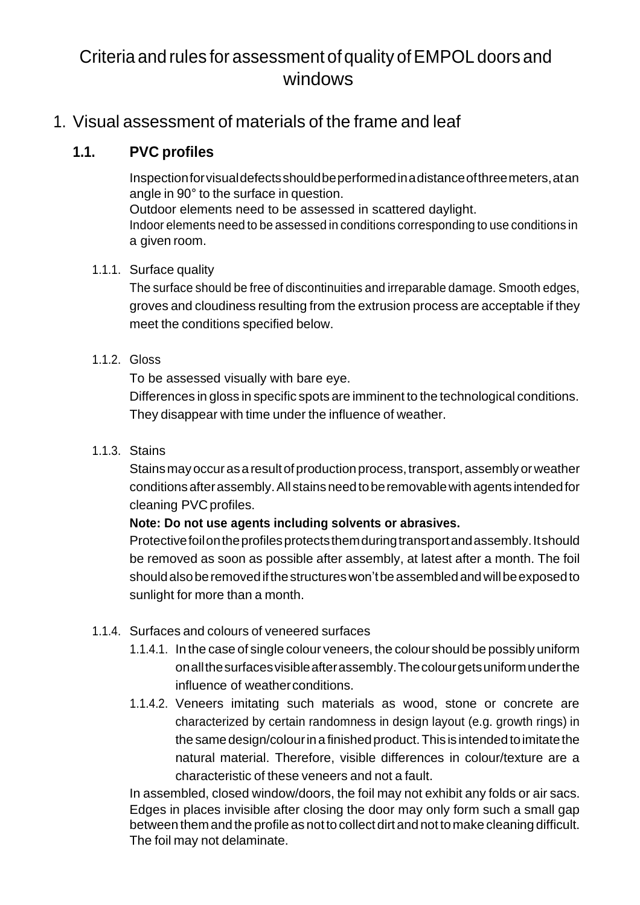# Criteria and rules for assessment of quality of EMPOL doors and windows

# 1. Visual assessment of materials of the frame and leaf

# **1.1. PVC profiles**

Inspectionforvisualdefectsshouldbeperformedinadistanceofthreemeters,atan angle in 90° to the surface in question. Outdoor elements need to be assessed in scattered daylight. Indoor elements need to be assessed in conditions corresponding to use conditions in a given room.

# 1.1.1. Surface quality

The surface should be free of discontinuities and irreparable damage. Smooth edges, groves and cloudiness resulting from the extrusion process are acceptable if they meet the conditions specified below.

# 1.1.2. Gloss

To be assessed visually with bare eye.

Differences in gloss in specific spots are imminent to the technological conditions. They disappear with time under the influence of weather.

# 1.1.3. Stains

Stains may occur as a result of production process, transport, assembly or weather conditions after assembly. All stains need to be removable with agents intended for cleaning PVC profiles.

# **Note: Do not use agents including solvents or abrasives.**

Protective foil on the profiles protects them during transport and assembly. It should be removed as soon as possible after assembly, at latest after a month. The foil should also be removed if the structures won't be assembled and will be exposed to sunlight for more than a month.

# 1.1.4. Surfaces and colours of veneered surfaces

- 1.1.4.1. In the case of single colour veneers, the colour should be possibly uniform onallthesurfacesvisibleafterassembly.Thecolourgetsuniformunderthe influence of weatherconditions.
- 1.1.4.2. Veneers imitating such materials as wood, stone or concrete are characterized by certain randomness in design layout (e.g. growth rings) in the same design/colour in a finished product. This is intended to imitate the natural material. Therefore, visible differences in colour/texture are a characteristic of these veneers and not a fault.

In assembled, closed window/doors, the foil may not exhibit any folds or air sacs. Edges in places invisible after closing the door may only form such a small gap between them and the profile as not to collect dirt and not tomake cleaning difficult. The foil may not delaminate.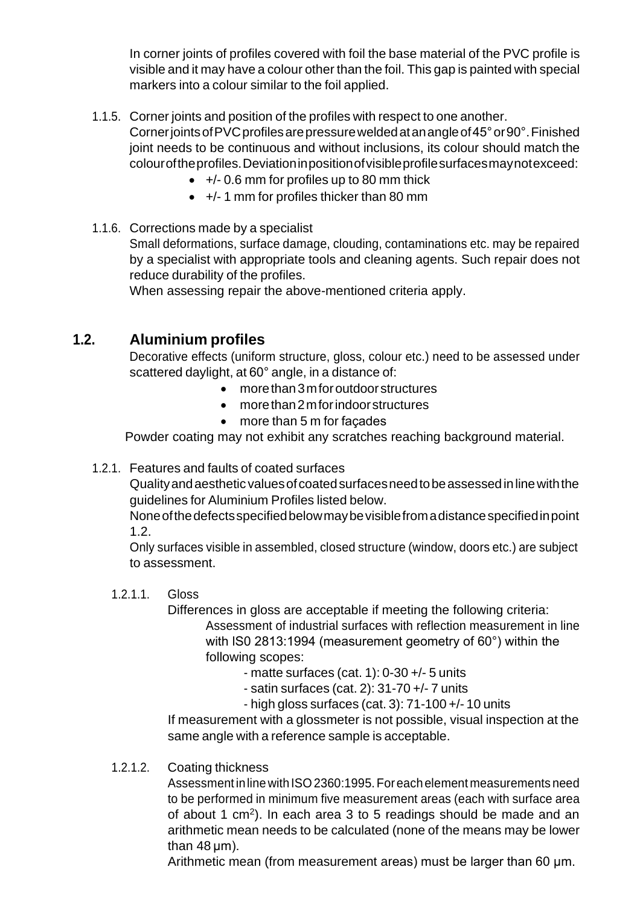In corner joints of profiles covered with foil the base material of the PVC profile is visible and it may have a colour other than the foil. This gap is painted with special markers into a colour similar to the foil applied.

1.1.5. Corner joints and position of the profiles with respect to one another.

CornerjointsofPVCprofilesarepressureweldedatanangleof45°or90°.Finished joint needs to be continuous and without inclusions, its colour should match the colouroftheprofiles.Deviationinpositionofvisibleprofilesurfacesmaynotexceed:

- $\bullet$  +/- 0.6 mm for profiles up to 80 mm thick
- +/- 1 mm for profiles thicker than 80 mm
- 1.1.6. Corrections made by a specialist

Small deformations, surface damage, clouding, contaminations etc. may be repaired by a specialist with appropriate tools and cleaning agents. Such repair does not reduce durability of the profiles.

When assessing repair the above-mentioned criteria apply.

# **1.2. Aluminium profiles**

Decorative effects (uniform structure, gloss, colour etc.) need to be assessed under scattered daylight, at 60° angle, in a distance of:

- more than 3 m for outdoor structures
- more than 2 m for indoor structures
- more than 5 m for façades

Powder coating may not exhibit any scratches reaching background material.

### 1.2.1. Features and faults of coated surfaces

Quality and aesthetic values of coated surfaces need to be assessed in line with the guidelines for Aluminium Profiles listed below.

None of the defects specified below may be visible from a distance specified in point 1.2.

Only surfaces visible in assembled, closed structure (window, doors etc.) are subject to assessment.

### 1.2.1.1. Gloss

Differences in gloss are acceptable if meeting the following criteria: Assessment of industrial surfaces with reflection measurement in line with lS0 2813:1994 (measurement geometry of 60°) within the following scopes:

- matte surfaces (cat. 1): 0-30 +/- 5 units
	- satin surfaces (cat. 2): 31-70 +/- 7 units
- high gloss surfaces (cat. 3): 71-100 +/- 10 units

If measurement with a glossmeter is not possible, visual inspection at the same angle with a reference sample is acceptable.

1.2.1.2. Coating thickness

Assessment in line with ISO 2360:1995. For each element measurements need to be performed in minimum five measurement areas (each with surface area of about 1 cm<sup>2</sup>). In each area 3 to 5 readings should be made and an arithmetic mean needs to be calculated (none of the means may be lower than  $48 \mu m$ ).

Arithmetic mean (from measurement areas) must be larger than 60 µm.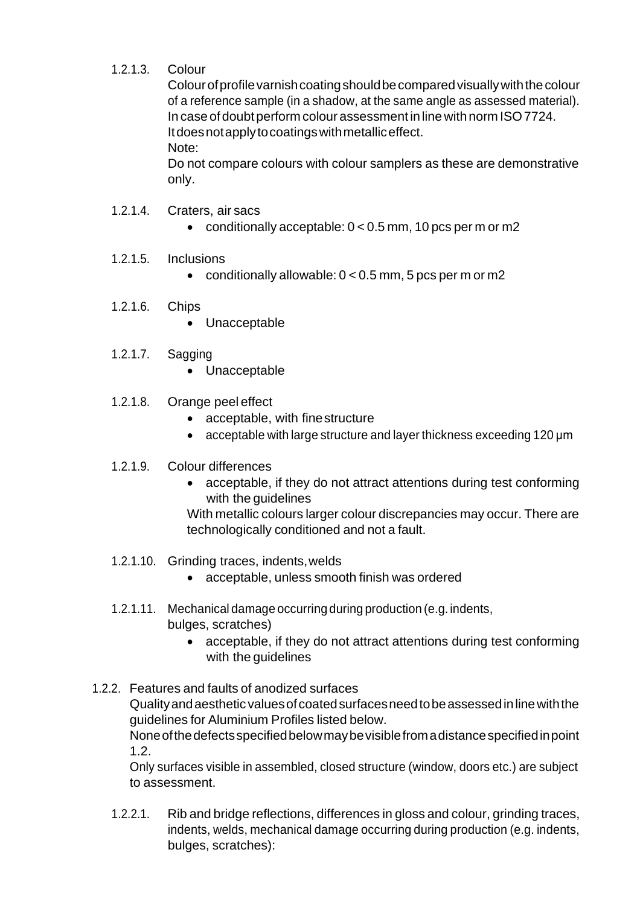# 1.2.1.3. Colour

Colour of profile varnish coating should be compared visually with the colour of a reference sample (in a shadow, at the same angle as assessed material). In case of doubt perform colour assessment in line with norm ISO 7724. Itdoesnotapplytocoatingswithmetalliceffect. Note:

Do not compare colours with colour samplers as these are demonstrative only.

- 1.2.1.4. Craters, air sacs
	- conditionally acceptable:  $0 < 0.5$  mm, 10 pcs per m or m2
- 1.2.1.5. Inclusions
	- conditionally allowable:  $0 < 0.5$  mm, 5 pcs per m or m2
- 1.2.1.6. Chips
	- Unacceptable
- 1.2.1.7. Sagging
	- Unacceptable
- 1.2.1.8. Orange peel effect
	- acceptable, with finestructure
	- acceptable with large structure and layer thickness exceeding 120 µm
- 1.2.1.9. Colour differences
	- acceptable, if they do not attract attentions during test conforming with the guidelines

With metallic colours larger colour discrepancies may occur. There are technologically conditioned and not a fault.

- 1.2.1.10. Grinding traces, indents,welds
	- acceptable, unless smooth finish was ordered
- 1.2.1.11. Mechanical damage occurring during production (e.g. indents, bulges, scratches)
	- acceptable, if they do not attract attentions during test conforming with the guidelines

1.2.2. Features and faults of anodized surfaces Qualityandaestheticvaluesofcoatedsurfacesneedtobeassessedinlinewiththe guidelines for Aluminium Profiles listed below. Noneofthedefectsspecifiedbelowmaybevisiblefromadistancespecifiedinpoint 1.2.

Only surfaces visible in assembled, closed structure (window, doors etc.) are subject to assessment.

1.2.2.1. Rib and bridge reflections, differences in gloss and colour, grinding traces, indents, welds, mechanical damage occurring during production (e.g. indents, bulges, scratches):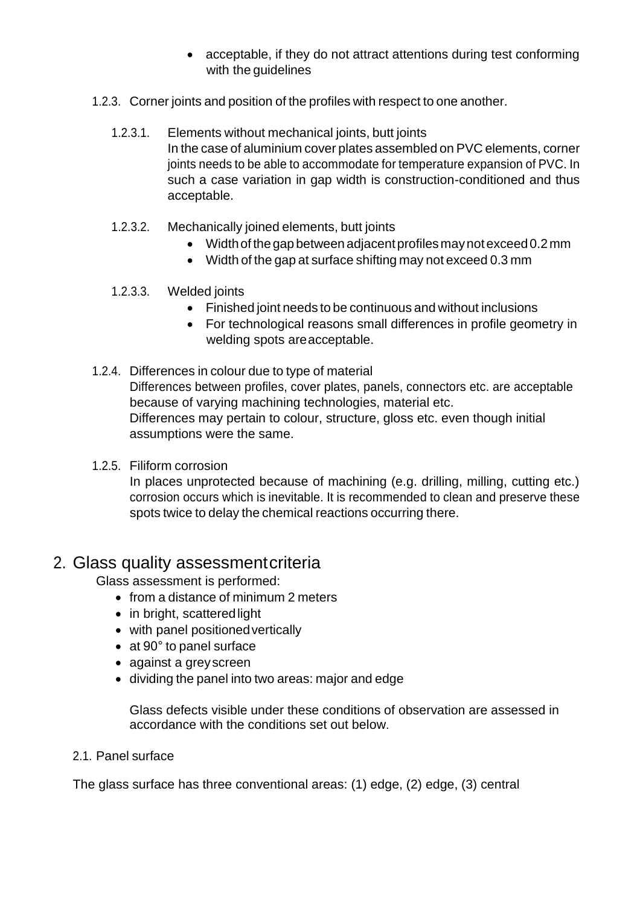- acceptable, if they do not attract attentions during test conforming with the guidelines
- 1.2.3. Corner joints and position of the profiles with respect to one another.
	- 1.2.3.1. Elements without mechanical joints, butt joints In the case of aluminium cover plates assembled on PVC elements, corner joints needs to be able to accommodate for temperature expansion of PVC. In such a case variation in gap width is construction-conditioned and thus acceptable.
	- 1.2.3.2. Mechanically joined elements, butt joints
		- Width of the gap between adjacent profiles may not exceed 0.2 mm
		- Width of the gap at surface shifting may not exceed 0.3 mm
	- 1.2.3.3. Welded joints
		- Finished joint needs to be continuous and without inclusions
		- For technological reasons small differences in profile geometry in welding spots areacceptable.
- 1.2.4. Differences in colour due to type of material Differences between profiles, cover plates, panels, connectors etc. are acceptable because of varying machining technologies, material etc. Differences may pertain to colour, structure, gloss etc. even though initial assumptions were the same.
- 1.2.5. Filiform corrosion

In places unprotected because of machining (e.g. drilling, milling, cutting etc.) corrosion occurs which is inevitable. It is recommended to clean and preserve these spots twice to delay the chemical reactions occurring there.

# 2. Glass quality assessmentcriteria

Glass assessment is performed:

- from a distance of minimum 2 meters
- in bright, scattered light
- with panel positionedvertically
- at 90° to panel surface
- against a greyscreen
- dividing the panel into two areas: major and edge

Glass defects visible under these conditions of observation are assessed in accordance with the conditions set out below.

### 2.1. Panel surface

The glass surface has three conventional areas: (1) edge, (2) edge, (3) central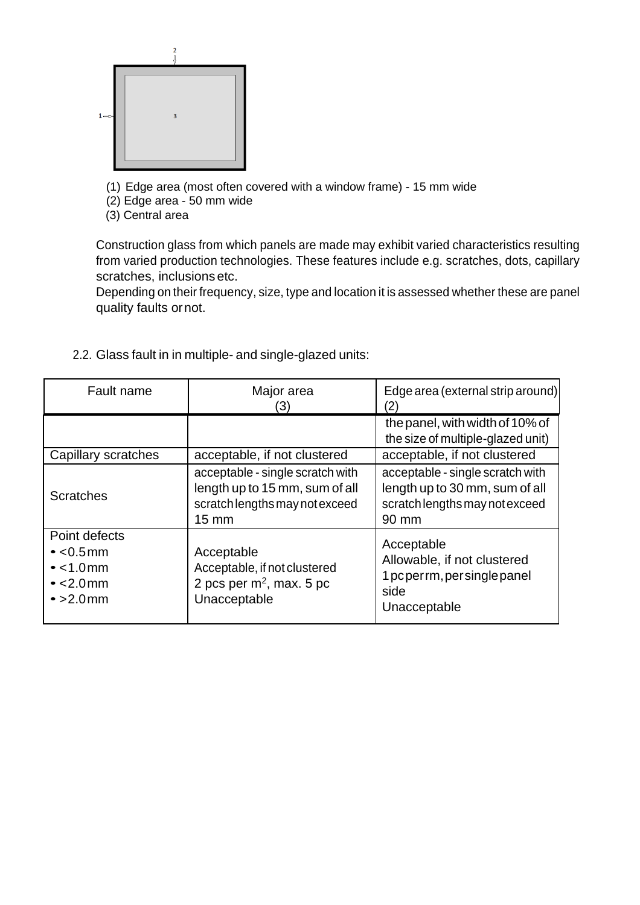

- (1) Edge area (most often covered with a window frame) 15 mm wide
- (2) Edge area 50 mm wide
- (3) Central area

Construction glass from which panels are made may exhibit varied characteristics resulting from varied production technologies. These features include e.g. scratches, dots, capillary scratches, inclusions etc.

Depending on their frequency, size, type and location it is assessed whether these are panel quality faults ornot.

| Fault name                                                                                     | Major area<br>(3)                                                                                                       | Edge area (external strip around)<br>$\mathbf{Z}$                                                             |
|------------------------------------------------------------------------------------------------|-------------------------------------------------------------------------------------------------------------------------|---------------------------------------------------------------------------------------------------------------|
|                                                                                                |                                                                                                                         | the panel, with width of 10% of<br>the size of multiple-glazed unit)                                          |
| Capillary scratches                                                                            | acceptable, if not clustered                                                                                            | acceptable, if not clustered                                                                                  |
| <b>Scratches</b>                                                                               | acceptable - single scratch with<br>length up to 15 mm, sum of all<br>scratch lengths may not exceed<br>$15 \text{ mm}$ | acceptable - single scratch with<br>length up to 30 mm, sum of all<br>scratch lengths may not exceed<br>90 mm |
| Point defects<br>$\cdot$ <0.5mm<br>$\bullet$ < 1.0 mm<br>$\text{-}$ <2.0 mm<br>$\cdot$ >2.0 mm | Acceptable<br>Acceptable, if not clustered<br>2 pcs per $m^2$ , max. 5 pc<br>Unacceptable                               | Acceptable<br>Allowable, if not clustered<br>1 pcperrm, persingle panel<br>side<br>Unacceptable               |

2.2. Glass fault in in multiple- and single-glazed units: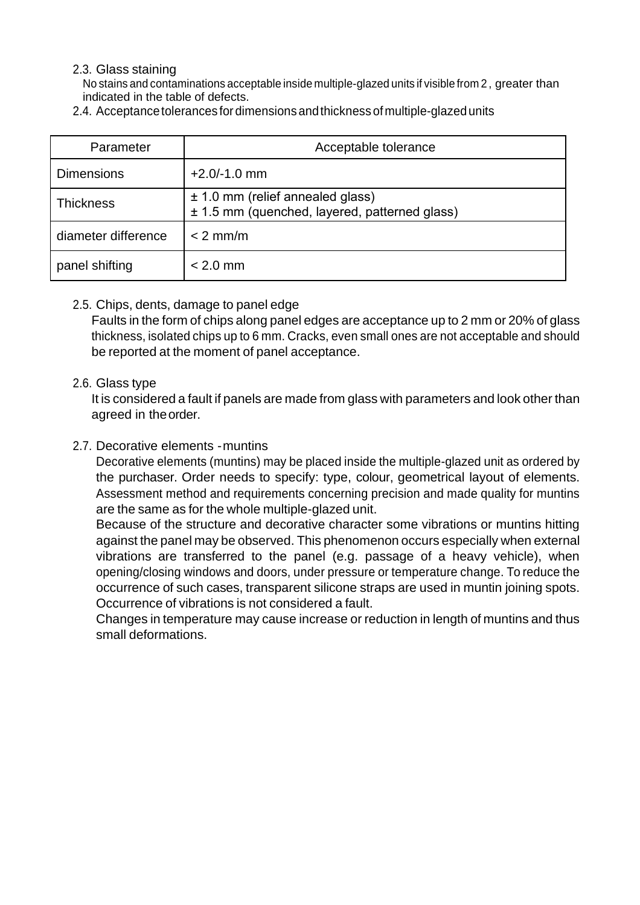### 2.3. Glass staining

No stains and contaminations acceptable inside multiple-glazed units if visible from 2 , greater than indicated in the table of defects.

| Parameter           | Acceptable tolerance                                                                  |  |
|---------------------|---------------------------------------------------------------------------------------|--|
| <b>Dimensions</b>   | $+2.0/-1.0$ mm                                                                        |  |
| <b>Thickness</b>    | $\pm$ 1.0 mm (relief annealed glass)<br>± 1.5 mm (quenched, layered, patterned glass) |  |
| diameter difference | $< 2$ mm/m                                                                            |  |
| panel shifting      | $< 2.0$ mm                                                                            |  |

2.4. Acceptance tolerances for dimensions and thickness of multiple-glazed units

### 2.5. Chips, dents, damage to panel edge

Faults in the form of chips along panel edges are acceptance up to 2 mm or 20% of glass thickness, isolated chips up to 6 mm. Cracks, even small ones are not acceptable and should be reported at the moment of panel acceptance.

#### 2.6. Glass type

It is considered a fault if panels are made from glass with parameters and look other than agreed in theorder.

### 2.7. Decorative elements -muntins

Decorative elements (muntins) may be placed inside the multiple-glazed unit as ordered by the purchaser. Order needs to specify: type, colour, geometrical layout of elements. Assessment method and requirements concerning precision and made quality for muntins are the same as for the whole multiple-glazed unit.

Because of the structure and decorative character some vibrations or muntins hitting against the panel may be observed. This phenomenon occurs especially when external vibrations are transferred to the panel (e.g. passage of a heavy vehicle), when opening/closing windows and doors, under pressure or temperature change. To reduce the occurrence of such cases, transparent silicone straps are used in muntin joining spots. Occurrence of vibrations is not considered a fault.

Changes in temperature may cause increase or reduction in length of muntins and thus small deformations.